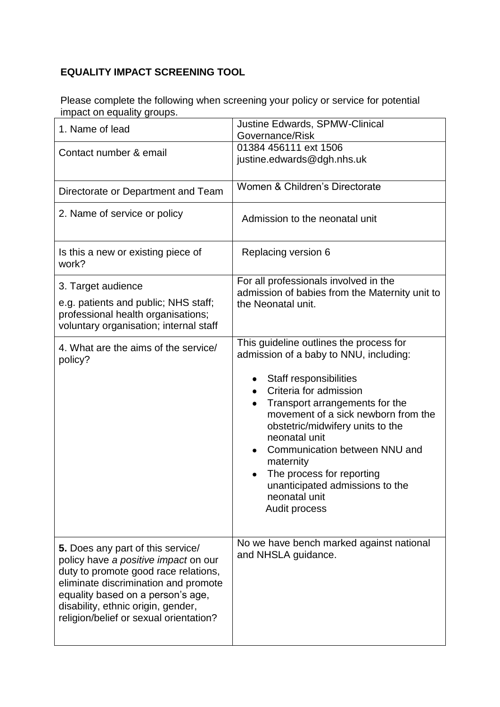## **EQUALITY IMPACT SCREENING TOOL**

Please complete the following when screening your policy or service for potential impact on equality groups.

| 1. Name of lead                                                                                                                                                                                                                                                                | <b>Justine Edwards, SPMW-Clinical</b><br>Governance/Risk                                                                   |
|--------------------------------------------------------------------------------------------------------------------------------------------------------------------------------------------------------------------------------------------------------------------------------|----------------------------------------------------------------------------------------------------------------------------|
| Contact number & email                                                                                                                                                                                                                                                         | 01384 456111 ext 1506<br>justine.edwards@dgh.nhs.uk                                                                        |
| Directorate or Department and Team                                                                                                                                                                                                                                             | Women & Children's Directorate                                                                                             |
| 2. Name of service or policy                                                                                                                                                                                                                                                   | Admission to the neonatal unit                                                                                             |
| Is this a new or existing piece of<br>work?                                                                                                                                                                                                                                    | Replacing version 6                                                                                                        |
| 3. Target audience                                                                                                                                                                                                                                                             | For all professionals involved in the<br>admission of babies from the Maternity unit to                                    |
| e.g. patients and public; NHS staff;<br>professional health organisations;<br>voluntary organisation; internal staff                                                                                                                                                           | the Neonatal unit.                                                                                                         |
| 4. What are the aims of the service/<br>policy?                                                                                                                                                                                                                                | This guideline outlines the process for<br>admission of a baby to NNU, including:                                          |
|                                                                                                                                                                                                                                                                                | Staff responsibilities<br>Criteria for admission                                                                           |
|                                                                                                                                                                                                                                                                                | Transport arrangements for the<br>movement of a sick newborn from the<br>obstetric/midwifery units to the<br>neonatal unit |
|                                                                                                                                                                                                                                                                                | Communication between NNU and                                                                                              |
|                                                                                                                                                                                                                                                                                | maternity<br>The process for reporting                                                                                     |
|                                                                                                                                                                                                                                                                                | unanticipated admissions to the<br>neonatal unit<br><b>Audit process</b>                                                   |
|                                                                                                                                                                                                                                                                                |                                                                                                                            |
| 5. Does any part of this service/<br>policy have a positive impact on our<br>duty to promote good race relations,<br>eliminate discrimination and promote<br>equality based on a person's age,<br>disability, ethnic origin, gender,<br>religion/belief or sexual orientation? | No we have bench marked against national<br>and NHSLA guidance.                                                            |